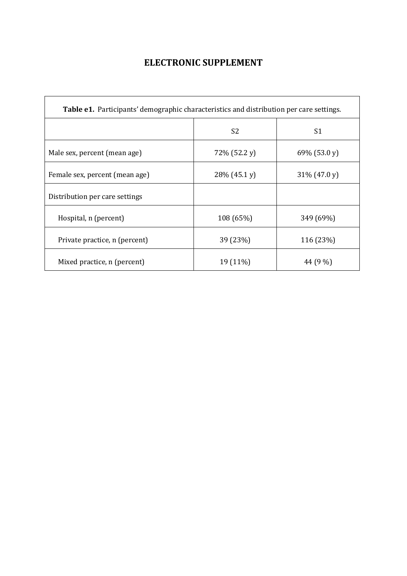## **ELECTRONIC SUPPLEMENT**

| <b>Table e1.</b> Participants' demographic characteristics and distribution per care settings. |              |                |  |  |  |  |
|------------------------------------------------------------------------------------------------|--------------|----------------|--|--|--|--|
|                                                                                                | S2           | S <sub>1</sub> |  |  |  |  |
| Male sex, percent (mean age)                                                                   | 72% (52.2 y) | 69% (53.0 y)   |  |  |  |  |
| Female sex, percent (mean age)                                                                 | 28% (45.1 y) | 31% (47.0 y)   |  |  |  |  |
| Distribution per care settings                                                                 |              |                |  |  |  |  |
| Hospital, n (percent)                                                                          | 108 (65%)    | 349 (69%)      |  |  |  |  |
| Private practice, n (percent)                                                                  | 39 (23%)     | 116 (23%)      |  |  |  |  |
| Mixed practice, n (percent)                                                                    | 19 (11%)     | 44 (9 %)       |  |  |  |  |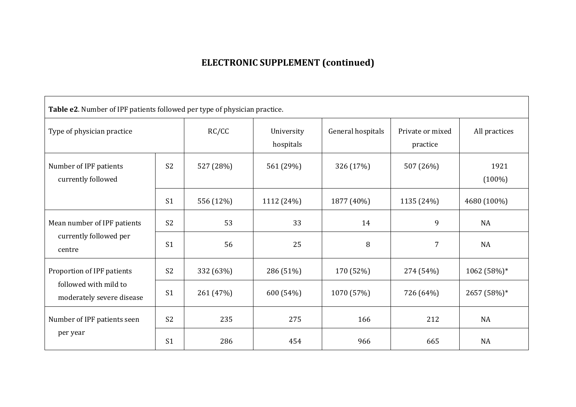## **ELECTRONIC SUPPLEMENT (continued)**

| Table e2. Number of IPF patients followed per type of physician practice.        |                |           |                         |                   |                              |                   |  |  |  |
|----------------------------------------------------------------------------------|----------------|-----------|-------------------------|-------------------|------------------------------|-------------------|--|--|--|
| Type of physician practice                                                       |                | RC/CC     | University<br>hospitals | General hospitals | Private or mixed<br>practice | All practices     |  |  |  |
| Number of IPF patients<br>currently followed                                     | S <sub>2</sub> | 527 (28%) | 561 (29%)               | 326 (17%)         | 507 (26%)                    | 1921<br>$(100\%)$ |  |  |  |
|                                                                                  | S <sub>1</sub> | 556 (12%) | 1112 (24%)              | 1877 (40%)        | 1135 (24%)                   | 4680 (100%)       |  |  |  |
| Mean number of IPF patients<br>currently followed per<br>centre                  | S <sub>2</sub> | 53        | 33                      | 14                | 9                            | <b>NA</b>         |  |  |  |
|                                                                                  | S <sub>1</sub> | 56        | 25                      | 8                 | 7                            | <b>NA</b>         |  |  |  |
| Proportion of IPF patients<br>followed with mild to<br>moderately severe disease | S <sub>2</sub> | 332 (63%) | 286 (51%)               | 170 (52%)         | 274 (54%)                    | 1062 (58%)*       |  |  |  |
|                                                                                  | S <sub>1</sub> | 261 (47%) | 600 (54%)               | 1070 (57%)        | 726 (64%)                    | 2657 (58%)*       |  |  |  |
| Number of IPF patients seen<br>per year                                          | S <sub>2</sub> | 235       | 275                     | 166               | 212                          | <b>NA</b>         |  |  |  |
|                                                                                  | S <sub>1</sub> | 286       | 454                     | 966               | 665                          | <b>NA</b>         |  |  |  |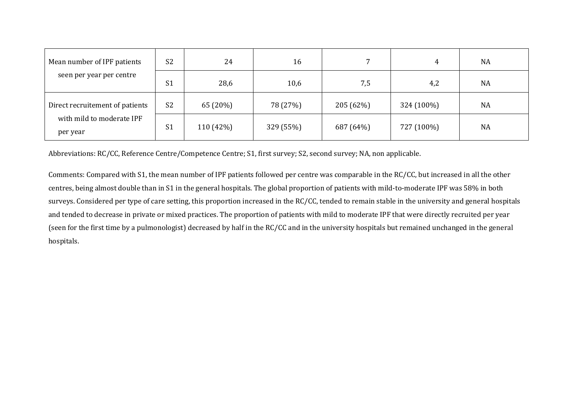| Mean number of IPF patients           | S <sub>2</sub> | 24        | 16        |           | 4          | <b>NA</b> |
|---------------------------------------|----------------|-----------|-----------|-----------|------------|-----------|
| seen per year per centre              | S <sub>1</sub> | 28,6      | 10,6      | 7,5       | 4,2        | <b>NA</b> |
| Direct recruitement of patients       | S <sub>2</sub> | 65 (20%)  | 78 (27%)  | 205 (62%) | 324 (100%) | <b>NA</b> |
| with mild to moderate IPF<br>per year | S <sub>1</sub> | 110 (42%) | 329 (55%) | 687 (64%) | 727 (100%) | <b>NA</b> |

Abbreviations: RC/CC, Reference Centre/Competence Centre; S1, first survey; S2, second survey; NA, non applicable.

Comments: Compared with S1, the mean number of IPF patients followed per centre was comparable in the RC/CC, but increased in all the other centres, being almost double than in S1 in the general hospitals. The global proportion of patients with mild-to-moderate IPF was 58% in both surveys. Considered per type of care setting, this proportion increased in the RC/CC, tended to remain stable in the university and general hospitals and tended to decrease in private or mixed practices. The proportion of patients with mild to moderate IPF that were directly recruited per year (seen for the first time by a pulmonologist) decreased by half in the RC/CC and in the university hospitals but remained unchanged in the general hospitals.